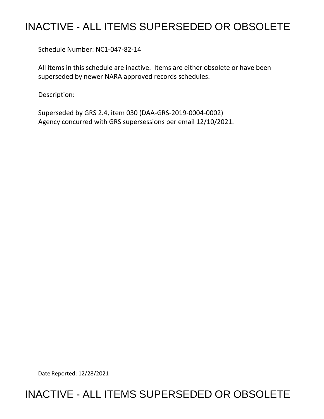## INACTIVE - ALL ITEMS SUPERSEDED OR OBSOLETE

Schedule Number: NC1-047-82-14

 All items in this schedule are inactive. Items are either obsolete or have been superseded by newer NARA approved records schedules.

Description:

 Superseded by GRS 2.4, item 030 (DAA-GRS-2019-0004-0002) Agency concurred with GRS supersessions per email 12/10/2021.

Date Reported: 12/28/2021

## INACTIVE - ALL ITEMS SUPERSEDED OR OBSOLETE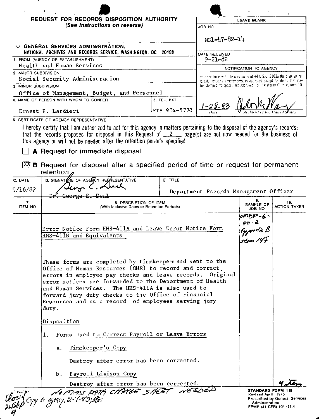|                                                                                                  | REQUEST FOR RECORDS DISPOSITION AUTHORITY<br>(See Instructions on reverse)                                                                                                                                                                                                                                                                                                                                            |                                | LEAVE BLANK                                                                                                                            |         |  |
|--------------------------------------------------------------------------------------------------|-----------------------------------------------------------------------------------------------------------------------------------------------------------------------------------------------------------------------------------------------------------------------------------------------------------------------------------------------------------------------------------------------------------------------|--------------------------------|----------------------------------------------------------------------------------------------------------------------------------------|---------|--|
|                                                                                                  |                                                                                                                                                                                                                                                                                                                                                                                                                       |                                | JOB NO                                                                                                                                 |         |  |
|                                                                                                  |                                                                                                                                                                                                                                                                                                                                                                                                                       |                                | $NC1 - 47 - 82 - 14$                                                                                                                   |         |  |
|                                                                                                  | TO: GENERAL SERVICES ADMINISTRATION,                                                                                                                                                                                                                                                                                                                                                                                  |                                |                                                                                                                                        |         |  |
| NATIONAL ARCHIVES AND RECORDS SERVICE, WASHINGTON, DC 20408<br>1. FROM (AGENCY OR ESTABLISHMENT) |                                                                                                                                                                                                                                                                                                                                                                                                                       | DATE RECEIVED<br>$9 - 21 - 82$ |                                                                                                                                        |         |  |
| Health and Human Services                                                                        |                                                                                                                                                                                                                                                                                                                                                                                                                       | NOTIFICATION TO AGENCY         |                                                                                                                                        |         |  |
| 2. MAJOR SUBDIVISION                                                                             |                                                                                                                                                                                                                                                                                                                                                                                                                       |                                | in an indance with the provisions of 44 U.S.C. 3303a the displisation                                                                  |         |  |
| Social Security Administration<br>3. MINOR SUBDIVISION                                           |                                                                                                                                                                                                                                                                                                                                                                                                                       |                                | cuest, including ameroments, is approved except for items that may<br>be stamped indisposal not approved" or "withdrawn" in column 10. |         |  |
|                                                                                                  | Office of Management, Budget, and Personnel                                                                                                                                                                                                                                                                                                                                                                           |                                |                                                                                                                                        |         |  |
|                                                                                                  | 4. NAME OF PERSON WITH WHOM TO CONFER                                                                                                                                                                                                                                                                                                                                                                                 | 5. TEL. EXT.                   |                                                                                                                                        |         |  |
|                                                                                                  | Ernest P. Lardieri                                                                                                                                                                                                                                                                                                                                                                                                    | FTS 934-5770                   |                                                                                                                                        |         |  |
|                                                                                                  | 6. CERTIFICATE OF AGENCY REPRESENTATIVE                                                                                                                                                                                                                                                                                                                                                                               |                                |                                                                                                                                        |         |  |
|                                                                                                  | A Request for immediate disposal.<br>$X^x$ <b>B</b> Request for disposal after a specified period of time or request for permanent<br>retention.                                                                                                                                                                                                                                                                      |                                |                                                                                                                                        |         |  |
| C. DATE                                                                                          | D. SIGNATIVE OF AGENCY REPRESENTATIVE                                                                                                                                                                                                                                                                                                                                                                                 | E. TITLE                       |                                                                                                                                        |         |  |
| 9/16/82                                                                                          |                                                                                                                                                                                                                                                                                                                                                                                                                       |                                | Department Records Management Officer                                                                                                  |         |  |
| 7.<br>ITEM NO.                                                                                   | Coorge s,<br>8. DESCRIPTION OF ITEM<br>(With Inclusive Dates or Retention Periods)                                                                                                                                                                                                                                                                                                                                    |                                | 9.<br>10.<br>SAMPLE OR<br><b>ACTION TAKEN</b><br>JOB NO.                                                                               |         |  |
|                                                                                                  |                                                                                                                                                                                                                                                                                                                                                                                                                       |                                |                                                                                                                                        | ombP-6- |  |
|                                                                                                  | Error Notice Form HHS-411A and Leave Error Notice Form                                                                                                                                                                                                                                                                                                                                                                |                                | $40 - 2$                                                                                                                               |         |  |
|                                                                                                  | HHS-411B and Equivalents                                                                                                                                                                                                                                                                                                                                                                                              |                                |                                                                                                                                        |         |  |
|                                                                                                  |                                                                                                                                                                                                                                                                                                                                                                                                                       |                                |                                                                                                                                        |         |  |
|                                                                                                  |                                                                                                                                                                                                                                                                                                                                                                                                                       |                                |                                                                                                                                        |         |  |
|                                                                                                  |                                                                                                                                                                                                                                                                                                                                                                                                                       |                                |                                                                                                                                        |         |  |
|                                                                                                  | These forms are completed by timekeepers and sent to the<br>Office of Human Resources (OHR) to record and correct,<br>errors in employee pay checks and leave records. Original<br>error notices are forwarded to the Department of Health<br>and Human Services. The HHS-411A is also used to<br>forward jury duty checks to the Office of Financial<br>Resources and as a record of employees serving jury<br>duty. |                                |                                                                                                                                        |         |  |
|                                                                                                  | Disposition                                                                                                                                                                                                                                                                                                                                                                                                           |                                |                                                                                                                                        |         |  |
|                                                                                                  | Forms Used to Correct Payroll or Leave Errors<br>ı.                                                                                                                                                                                                                                                                                                                                                                   |                                |                                                                                                                                        |         |  |
|                                                                                                  | Timekeeper's Copy<br>а.                                                                                                                                                                                                                                                                                                                                                                                               |                                |                                                                                                                                        |         |  |
|                                                                                                  | Destroy after error has been corrected.                                                                                                                                                                                                                                                                                                                                                                               |                                |                                                                                                                                        |         |  |
|                                                                                                  | b. Payroll Liaison Copy                                                                                                                                                                                                                                                                                                                                                                                               |                                |                                                                                                                                        |         |  |
|                                                                                                  | 115-107 16 19 1955 POTA CHANGE 5146ET NEEDED<br>124 Copy to agency, 2-7-83; Res.                                                                                                                                                                                                                                                                                                                                      |                                |                                                                                                                                        |         |  |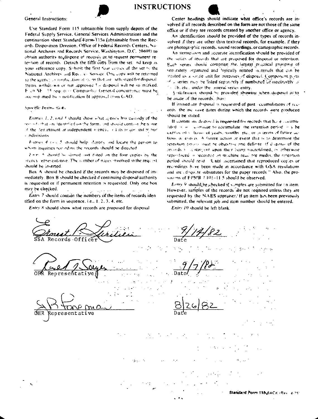

## **INSTRUCTIONS**

General Instructions:

Use Standard Form 115 (obtainable from supply depots of the Federal Supply Service, General Services Administration) and the continuation sheet Standard Form 115a (obtainable from the Records Disposition Division. Office of Federal Records Centers, National Archives and Records Service, Washington, D.C. 20408) to obtain authority to dispose of records on to request permanent retention of records. Detach the fifth copy from the set ind keep as your reference copy. Submit the first four conces of the set by the National Archives, and Rec. or Service. One copy will be returned to the agency as nontreation of the ns that are juthorized for disposal Rems, withdrawn or not approved for disposal will be so marked. Fight SE 15 requires Comparellor General concurrence must be, accompamed by a notification of approval tran C-AO.

Specific Instructions

Entries 1, 2, and 3 should show what a ency has custody of the remody that are identified on the form, and standard contain the temp of the department or independent wiency, is alts to gor and movie - adivisions

Entries 4 and 5 should help, dentify and locate the person to whom inquiries now reing the records should be directed

hairs. 6 should be signed and duted on the four copies by the sency representative. The number of ouges involved in the requirst should be laserted

Box A should be checked if the records may be disposed of immediately. Box B should be checked if continuing disposal authority is requested or if permanent retention is requested. Only one box may be checked. الجلواني والمراري  $\sim 10$ 

 $E$ ntry  $7$  should contain the numbers of the items of records iden tified on the form in sequence, i.e.,  $1, 2, 3, 4$ , etc.

Entry 8 should show what records are proposed for disposal

Center headings should indicate what office's records are involved if all records described on the form are not those of the same office or if they are records created by another effice or agency.

An identification should be provided of the types of records involved if they are other than textural records, for example, if they are photographic records, sound recordings, or cartographic records.

An itemiziation and accurate identification should be provided of the series of records that are proposed for disposal or retention. Each series should comprise the largest practical grouping of sen rately organized and 'ogically related materials that can be incuted as a single unit for purposes of disposal. Component perks of a series may be listed separately if numbered Collsecutively as (3) (b, etc., under the leneral series entry,

§ statement should be provided showing when disposel is to be made of the records, thus:

If immediate disposal is requested of past coumulations of records, the mc laive dates during which the records were produced should be stated.

If continuous disposed is requested for records that has essayimulated  $\beta \neq -\sqrt{m}$  and to accumulate. The retention period  $\beta \rightarrow \beta$  be eagnesies) a term of years, months, etc., or in terms of future actions in everys. A forure action or event that is to determine the retention between must be objective and definite. If dispassing f the reverds a contractor upon their being nucretifined, or etherwise reprediiced of recorded on muchine reall big media, the referition period should rend. Until ascertained that reproduced conles or recovdings have been made in accordance with GSA regulations and are adoquate substitutes for the paper records." Also, the provisions of FPMR 5101-11.5 should be observed.

Entry 9 should be checked if sumples are submitted for an item. However, samples of the records are not required unless they are requested by the NARS appraiser. If an item has been previously submitted, the relevant job and item number should be entered.

Entry 10 should be left blank.

**Records Offi** resentative Ĵ. l na Representative OHR **SALE** Standard Form 115 BACK (Rev. 4-75)